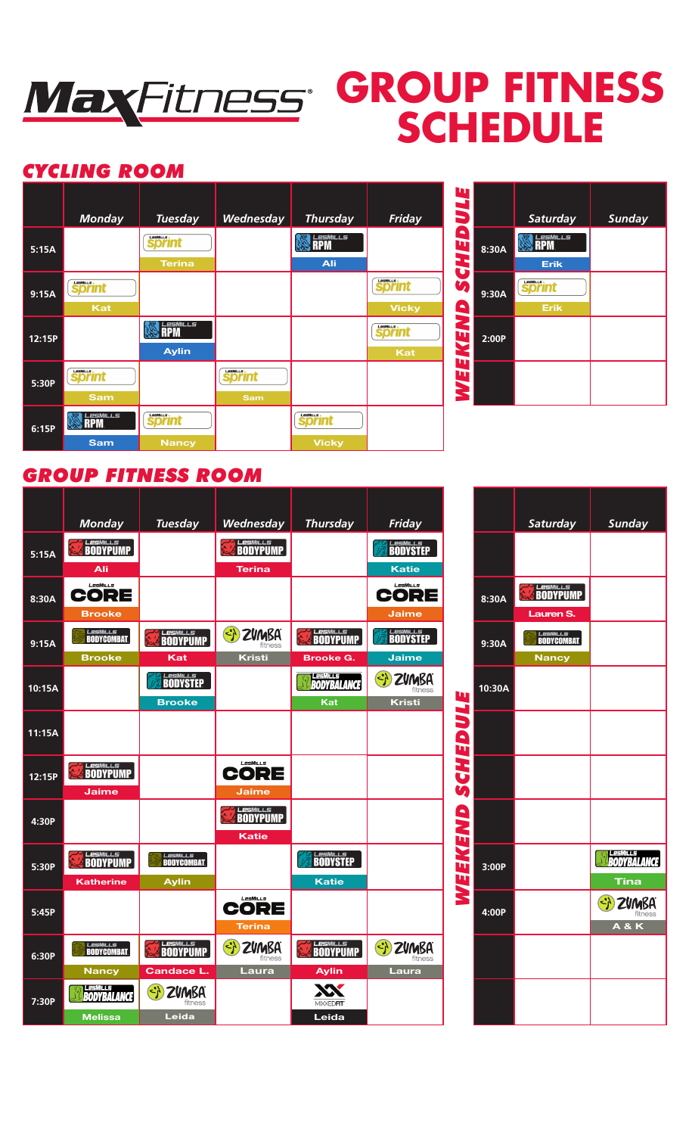

# **GROUP FITNESS SCHEDULE**

## *CYCLING ROOM*



| П                  |       |                              |               |
|--------------------|-------|------------------------------|---------------|
| IJ                 |       | <b>Saturday</b>              | <b>Sunday</b> |
| q<br>Ţ<br><b>J</b> | 8:30A | ルレら<br>Erik                  |               |
| Ŵ<br>9             | 9:30A | <b>Sprint</b><br><b>Erik</b> |               |
| NEW                | 2:00P |                              |               |
| π<br>ENE           |       |                              |               |

## *GROUP FITNESS ROOM*

|        | <b>Monday</b>                 | <b>Tuesday</b>                                                | Wednesday                                    | <b>Thursday</b>             | Friday                                                        |                    |        | Saturday         | Sunday                      |
|--------|-------------------------------|---------------------------------------------------------------|----------------------------------------------|-----------------------------|---------------------------------------------------------------|--------------------|--------|------------------|-----------------------------|
| 5:15A  | <b>LesMILLS</b>               |                                                               | <b>LesMILLS</b>                              |                             | <b>BODYSTEP</b>                                               |                    |        |                  |                             |
|        | Ali                           |                                                               | <b>Terina</b>                                |                             | <b>Katie</b>                                                  |                    |        |                  |                             |
| 8:30A  | LesMills<br>CORE              |                                                               |                                              |                             | LesMills<br>CORE                                              |                    | 8:30A  | <b>ELESMILLS</b> |                             |
|        | <b>Brooke</b>                 |                                                               |                                              |                             | <b>Jaime</b>                                                  |                    |        | Lauren S.        |                             |
| 9:15A  | <b>LesMILLS</b>               | <b>LesMILLS</b>                                               | $\left(\frac{1}{2}\right)$<br><b>ZVMBA</b>   | <b>LesMILLS</b><br>BODYPUMP | <b>BODYSTEP</b>                                               |                    | 9:30A  | <b>LesMILLS</b>  |                             |
|        | <b>Brooke</b>                 | Kat                                                           | <b>Kristi</b>                                | <b>Brooke G.</b>            | <b>Jaime</b>                                                  |                    |        | <b>Nancy</b>     |                             |
| 10:15A |                               | <b>LESMILLS</b><br>BODYSTEP                                   |                                              | <b>BODYBALANCE</b>          | $\left\langle \cdot \right\rangle$<br><b>ZVMBA</b><br>fitness | W                  | 10:30A |                  |                             |
|        |                               | <b>Brooke</b>                                                 |                                              | Kat                         | <b>Kristi</b>                                                 | $\hat{\mathbf{v}}$ |        |                  |                             |
| 11:15A |                               |                                                               |                                              |                             |                                                               | 3<br>$\mathbf{a}$  |        |                  |                             |
| 12:15P | <b>LesMILLS</b>               |                                                               | LesMills<br>CORE                             |                             |                                                               | Č                  |        |                  |                             |
|        | <b>Jaime</b>                  |                                                               | Jaime                                        |                             |                                                               | Ŭ                  |        |                  |                             |
|        |                               |                                                               | <b>LesMILLS</b>                              |                             |                                                               |                    |        |                  |                             |
| 4:30P  |                               |                                                               | <b>Katie</b>                                 |                             |                                                               |                    |        |                  |                             |
| 5:30P  | <b>LesMILLS</b><br>BODYPUMP   | <b>LesMILLS</b>                                               |                                              | <b>LesMILLS</b><br>BODYSTEP |                                                               | WEEKEND            | 3:00P  |                  | LesMILLS<br><b>BODYBALA</b> |
|        | <b>Katherine</b>              | <b>Aylin</b>                                                  |                                              | <b>Katie</b>                |                                                               |                    |        |                  | Tina                        |
| 5:45P  |                               |                                                               | LesMills<br>CORE                             |                             |                                                               |                    | 4:00P  |                  | <b>ZVMB</b>                 |
|        |                               |                                                               | <b>Terina</b>                                |                             |                                                               |                    |        |                  | <b>A&amp;K</b>              |
| 6:30P  | <i>Lesmills</i><br>BODYCOMBAT | <b>LesMILLS</b>                                               | $\left\{ \cdot \right\}$<br>ZVMBA<br>fitness | <b>LesMILLS</b><br>BODYPUMP | $\left\{ \cdot \right\}$<br>ZVMBA<br>fitness                  |                    |        |                  |                             |
|        | <b>Nancy</b>                  | <b>Candace L.</b>                                             | Laura                                        | <b>Aylin</b>                | Laura                                                         |                    |        |                  |                             |
| 7:30P  | 有事机性病<br><b>BODYBALANCE</b>   | $\left\langle \cdot \right\rangle$<br><b>ZVMBA</b><br>fitness |                                              | <b>MIXXEDFIT</b>            |                                                               |                    |        |                  |                             |
|        | <b>Melissa</b>                | Leida                                                         |                                              | Leida                       |                                                               |                    |        |                  |                             |

|                  |        | Saturday                                      | <b>Sunday</b>                         |
|------------------|--------|-----------------------------------------------|---------------------------------------|
| WEEKEND SCHEDULE |        |                                               |                                       |
|                  | 8:30A  | <b>EXAMPLE</b><br>Lauren S.                   |                                       |
|                  | 9:30A  | <i>Lesmills</i><br>BodyCombat<br><b>Nancy</b> |                                       |
|                  | 10:30A |                                               |                                       |
|                  |        |                                               |                                       |
|                  |        |                                               |                                       |
|                  |        |                                               |                                       |
|                  | 3:00P  |                                               | <b>BODYBALANCE</b><br>Tina            |
|                  | 4:00P  |                                               | SI ZUMBA<br>fitness<br><b>A&amp;K</b> |
|                  |        |                                               |                                       |
|                  |        |                                               |                                       |